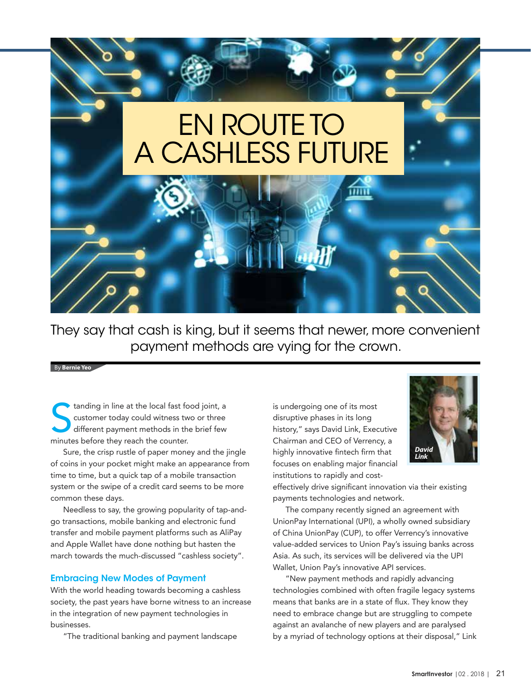# EN ROUTE TO A CASHI FSS FUTURE

They say that cash is king, but it seems that newer, more convenient payment methods are vying for the crown.

By **Bernie Yeo**

tanding in line at the local fast for customer today could witness two different payment methods in the minutes before they reach the counter. tanding in line at the local fast food joint, a customer today could witness two or three different payment methods in the brief few

Sure, the crisp rustle of paper money and the jingle of coins in your pocket might make an appearance from time to time, but a quick tap of a mobile transaction system or the swipe of a credit card seems to be more common these days.

Needless to say, the growing popularity of tap-andgo transactions, mobile banking and electronic fund transfer and mobile payment platforms such as AliPay and Apple Wallet have done nothing but hasten the march towards the much-discussed "cashless society".

#### Embracing New Modes of Payment

With the world heading towards becoming a cashless society, the past years have borne witness to an increase in the integration of new payment technologies in businesses.

"The traditional banking and payment landscape

is undergoing one of its most disruptive phases in its long history," says David Link, Executive Chairman and CEO of Verrency, a highly innovative fintech firm that focuses on enabling major financial institutions to rapidly and cost-



effectively drive significant innovation via their existing payments technologies and network.

The company recently signed an agreement with UnionPay International (UPI), a wholly owned subsidiary of China UnionPay (CUP), to offer Verrency's innovative value-added services to Union Pay's issuing banks across Asia. As such, its services will be delivered via the UPI Wallet, Union Pay's innovative API services.

"New payment methods and rapidly advancing technologies combined with often fragile legacy systems means that banks are in a state of flux. They know they need to embrace change but are struggling to compete against an avalanche of new players and are paralysed by a myriad of technology options at their disposal," Link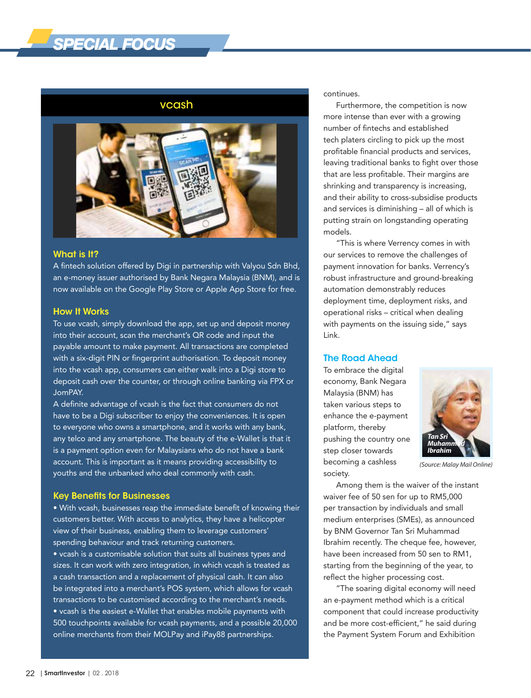## *SPECIAL FOCUS*

#### vcash



#### What is It?

A fintech solution offered by Digi in partnership with Valyou Sdn Bhd, an e-money issuer authorised by Bank Negara Malaysia (BNM), and is now available on the Google Play Store or Apple App Store for free.

#### How It Works

To use vcash, simply download the app, set up and deposit money into their account, scan the merchant's QR code and input the payable amount to make payment. All transactions are completed with a six-digit PIN or fingerprint authorisation. To deposit money into the vcash app, consumers can either walk into a Digi store to deposit cash over the counter, or through online banking via FPX or JomPAY.

A definite advantage of vcash is the fact that consumers do not have to be a Digi subscriber to enjoy the conveniences. It is open to everyone who owns a smartphone, and it works with any bank, any telco and any smartphone. The beauty of the e-Wallet is that it is a payment option even for Malaysians who do not have a bank account. This is important as it means providing accessibility to youths and the unbanked who deal commonly with cash.

#### Key Benefits for Businesses

• With vcash, businesses reap the immediate benefit of knowing their customers better. With access to analytics, they have a helicopter view of their business, enabling them to leverage customers' spending behaviour and track returning customers. • vcash is a customisable solution that suits all business types and sizes. It can work with zero integration, in which vcash is treated as a cash transaction and a replacement of physical cash. It can also be integrated into a merchant's POS system, which allows for vcash transactions to be customised according to the merchant's needs. • vcash is the easiest e-Wallet that enables mobile payments with 500 touchpoints available for vcash payments, and a possible 20,000 online merchants from their MOLPay and iPay88 partnerships.

continues.

Furthermore, the competition is now more intense than ever with a growing number of fintechs and established tech platers circling to pick up the most profitable financial products and services, leaving traditional banks to fight over those that are less profitable. Their margins are shrinking and transparency is increasing, and their ability to cross-subsidise products and services is diminishing – all of which is putting strain on longstanding operating models.

"This is where Verrency comes in with our services to remove the challenges of payment innovation for banks. Verrency's robust infrastructure and ground-breaking automation demonstrably reduces deployment time, deployment risks, and operational risks – critical when dealing with payments on the issuing side," says Link.

#### The Road Ahead

To embrace the digital economy, Bank Negara Malaysia (BNM) has taken various steps to enhance the e-payment platform, thereby pushing the country one step closer towards becoming a cashless society.



*(Source: Malay Mail Online)*

Among them is the waiver of the instant waiver fee of 50 sen for up to RM5,000 per transaction by individuals and small medium enterprises (SMEs), as announced by BNM Governor Tan Sri Muhammad Ibrahim recently. The cheque fee, however, have been increased from 50 sen to RM1, starting from the beginning of the year, to reflect the higher processing cost.

"The soaring digital economy will need an e-payment method which is a critical component that could increase productivity and be more cost-efficient," he said during the Payment System Forum and Exhibition